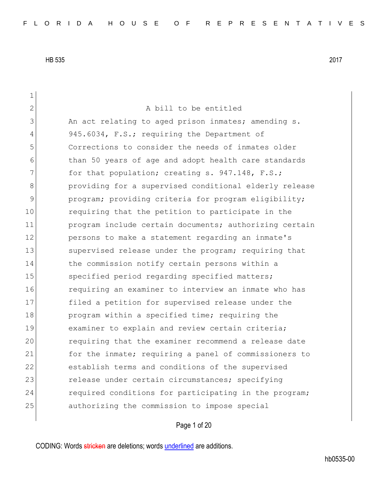| $\mathbf 1$   |                                                        |
|---------------|--------------------------------------------------------|
| $\mathbf{2}$  | A bill to be entitled                                  |
| 3             | An act relating to aged prison inmates; amending s.    |
| 4             | 945.6034, F.S.; requiring the Department of            |
| 5             | Corrections to consider the needs of inmates older     |
| 6             | than 50 years of age and adopt health care standards   |
| 7             | for that population; creating s. 947.148, F.S.;        |
| 8             | providing for a supervised conditional elderly release |
| $\mathcal{G}$ | program; providing criteria for program eligibility;   |
| 10            | requiring that the petition to participate in the      |
| 11            | program include certain documents; authorizing certain |
| 12            | persons to make a statement regarding an inmate's      |
| 13            | supervised release under the program; requiring that   |
| 14            | the commission notify certain persons within a         |
| 15            | specified period regarding specified matters;          |
| 16            | requiring an examiner to interview an inmate who has   |
| 17            | filed a petition for supervised release under the      |
| 18            | program within a specified time; requiring the         |
| 19            | examiner to explain and review certain criteria;       |
| 20            | requiring that the examiner recommend a release date   |
| 21            | for the inmate; requiring a panel of commissioners to  |
| 22            | establish terms and conditions of the supervised       |
| 23            | release under certain circumstances; specifying        |
| 24            | required conditions for participating in the program;  |
| 25            | authorizing the commission to impose special           |
|               |                                                        |

Page 1 of 20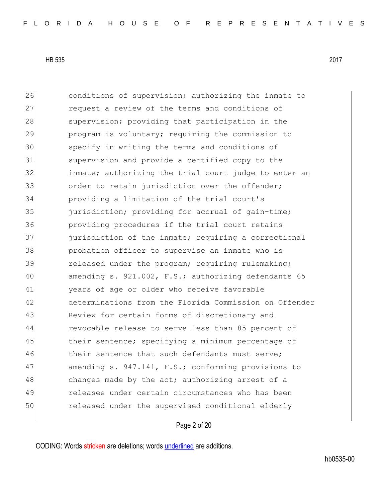26 conditions of supervision; authorizing the inmate to 27 **request a review of the terms and conditions of** 28 Supervision; providing that participation in the 29 program is voluntary; requiring the commission to 30 specify in writing the terms and conditions of 31 supervision and provide a certified copy to the 32 inmate; authorizing the trial court judge to enter an 33 order to retain jurisdiction over the offender; 34 providing a limitation of the trial court's 35 jurisdiction; providing for accrual of gain-time; 36 providing procedures if the trial court retains 37 **jurisdiction of the inmate;** requiring a correctional 38 probation officer to supervise an inmate who is 39 **released under the program;** requiring rulemaking; 40 amending s. 921.002, F.S.; authorizing defendants 65 41 years of age or older who receive favorable 42 determinations from the Florida Commission on Offender 43 Review for certain forms of discretionary and 44 revocable release to serve less than 85 percent of 45 their sentence; specifying a minimum percentage of  $46$  their sentence that such defendants must serve; 47 amending s. 947.141, F.S.; conforming provisions to 48 changes made by the act; authorizing arrest of a 49 releasee under certain circumstances who has been 50 released under the supervised conditional elderly

Page 2 of 20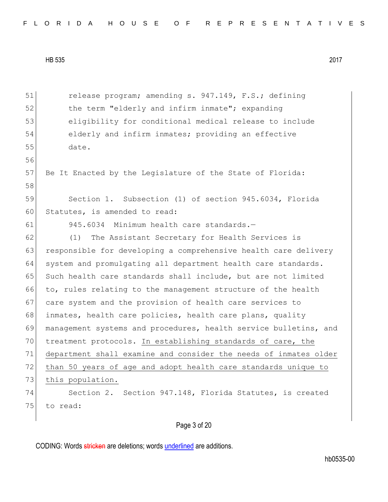51 release program; amending s. 947.149, F.S.; defining 52 the term "elderly and infirm inmate"; expanding 53 eligibility for conditional medical release to include 54 elderly and infirm inmates; providing an effective 55 date. 56 57 Be It Enacted by the Legislature of the State of Florida: 58 59 Section 1. Subsection (1) of section 945.6034, Florida 60 Statutes, is amended to read: 61 945.6034 Minimum health care standards.— 62 (1) The Assistant Secretary for Health Services is 63 responsible for developing a comprehensive health care delivery 64 system and promulgating all department health care standards. 65 Such health care standards shall include, but are not limited 66 to, rules relating to the management structure of the health 67 care system and the provision of health care services to 68 inmates, health care policies, health care plans, quality 69 management systems and procedures, health service bulletins, and 70 treatment protocols. In establishing standards of care, the 71 department shall examine and consider the needs of inmates older 72 than 50 years of age and adopt health care standards unique to 73 this population. 74 Section 2. Section 947.148, Florida Statutes, is created 75 to read:

Page 3 of 20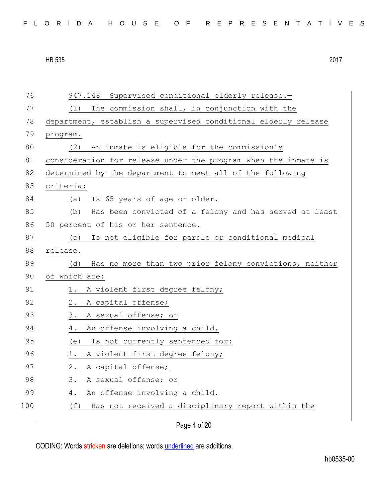76 947.148 Supervised conditional elderly release.— 77 (1) The commission shall, in conjunction with the 78 department, establish a supervised conditional elderly release 79 program. 80 (2) An inmate is eligible for the commission's 81 consideration for release under the program when the inmate is 82 determined by the department to meet all of the following 83 criteria: 84 (a) Is 65 years of age or older. 85 (b) Has been convicted of a felony and has served at least 86 50 percent of his or her sentence. 87 (c) Is not eligible for parole or conditional medical 88 release. 89 (d) Has no more than two prior felony convictions, neither 90 of which are: 91 1. A violent first degree felony; 92 2. A capital offense; 93 3. A sexual offense; or 94 4. An offense involving a child. 95 (e) Is not currently sentenced for: 96 1. A violent first degree felony; 97 2. A capital offense; 98 3. A sexual offense; or 99 4. An offense involving a child. 100 (f) Has not received a disciplinary report within the

Page 4 of 20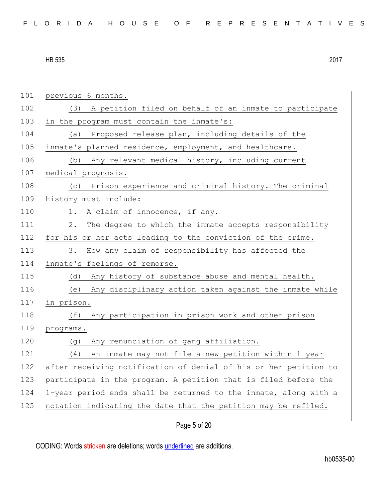| FLORIDA HOUSE OF REPRESENTATIVES |  |
|----------------------------------|--|
|----------------------------------|--|

| 101 | previous 6 months.                                               |
|-----|------------------------------------------------------------------|
| 102 | A petition filed on behalf of an inmate to participate<br>(3)    |
| 103 | in the program must contain the inmate's:                        |
| 104 | Proposed release plan, including details of the<br>(a)           |
| 105 | inmate's planned residence, employment, and healthcare.          |
| 106 | (b) Any relevant medical history, including current              |
| 107 | medical prognosis.                                               |
| 108 | Prison experience and criminal history. The criminal<br>(C)      |
| 109 | history must include:                                            |
| 110 | A claim of innocence, if any.<br>1.                              |
| 111 | 2.<br>The degree to which the inmate accepts responsibility      |
| 112 | for his or her acts leading to the conviction of the crime.      |
| 113 | 3.<br>How any claim of responsibility has affected the           |
| 114 | inmate's feelings of remorse.                                    |
| 115 | (d)<br>Any history of substance abuse and mental health.         |
| 116 | (e) Any disciplinary action taken against the inmate while       |
| 117 | in prison.                                                       |
| 118 | Any participation in prison work and other prison<br>(f)         |
| 119 | programs.                                                        |
| 120 | Any renunciation of gang affiliation.<br>(g)                     |
| 121 | (4)<br>An inmate may not file a new petition within 1 year       |
| 122 | after receiving notification of denial of his or her petition to |
| 123 | participate in the program. A petition that is filed before the  |
| 124 | 1-year period ends shall be returned to the inmate, along with a |
| 125 | notation indicating the date that the petition may be refiled.   |
|     |                                                                  |

Page 5 of 20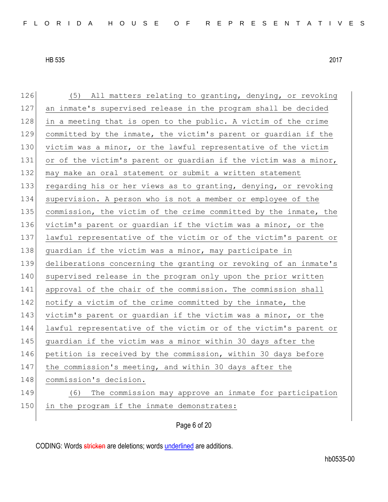| 126 | (5) All matters relating to granting, denying, or revoking       |
|-----|------------------------------------------------------------------|
| 127 | an inmate's supervised release in the program shall be decided   |
| 128 | in a meeting that is open to the public. A victim of the crime   |
| 129 | committed by the inmate, the victim's parent or guardian if the  |
| 130 | victim was a minor, or the lawful representative of the victim   |
| 131 | or of the victim's parent or guardian if the victim was a minor, |
| 132 | may make an oral statement or submit a written statement         |
| 133 | regarding his or her views as to granting, denying, or revoking  |
| 134 | supervision. A person who is not a member or employee of the     |
| 135 | commission, the victim of the crime committed by the inmate, the |
| 136 | victim's parent or guardian if the victim was a minor, or the    |
| 137 | lawful representative of the victim or of the victim's parent or |
| 138 | guardian if the victim was a minor, may participate in           |
| 139 | deliberations concerning the granting or revoking of an inmate's |
| 140 | supervised release in the program only upon the prior written    |
| 141 | approval of the chair of the commission. The commission shall    |
| 142 | notify a victim of the crime committed by the inmate, the        |
| 143 | victim's parent or guardian if the victim was a minor, or the    |
| 144 | lawful representative of the victim or of the victim's parent or |
| 145 | quardian if the victim was a minor within 30 days after the      |
| 146 | petition is received by the commission, within 30 days before    |
| 147 | the commission's meeting, and within 30 days after the           |
| 148 | commission's decision.                                           |
| 149 | The commission may approve an inmate for participation<br>(6)    |
| 150 | in the program if the inmate demonstrates:                       |
|     |                                                                  |

Page 6 of 20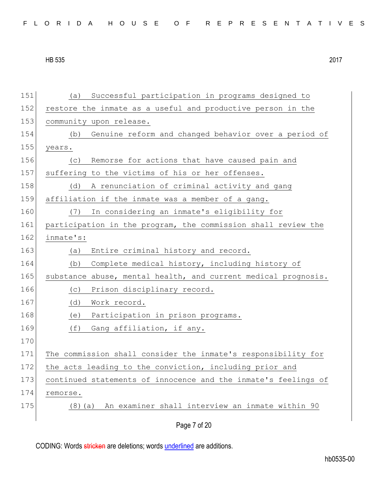|  |  |  |  |  | FLORIDA HOUSE OF REPRESENTATIVES |  |
|--|--|--|--|--|----------------------------------|--|
|--|--|--|--|--|----------------------------------|--|

Page 7 of 20 151 (a) Successful participation in programs designed to 152 restore the inmate as a useful and productive person in the 153 community upon release. 154 (b) Genuine reform and changed behavior over a period of 155 years. 156 (c) Remorse for actions that have caused pain and 157 suffering to the victims of his or her offenses. 158 (d) A renunciation of criminal activity and gang 159 affiliation if the inmate was a member of a gang. 160 (7) In considering an inmate's eligibility for 161 participation in the program, the commission shall review the 162 inmate's: 163 (a) Entire criminal history and record. 164 (b) Complete medical history, including history of 165 substance abuse, mental health, and current medical prognosis. 166 (c) Prison disciplinary record. 167 (d) Work record. 168 (e) Participation in prison programs. 169 (f) Gang affiliation, if any. 170 171 The commission shall consider the inmate's responsibility for 172 the acts leading to the conviction, including prior and 173 continued statements of innocence and the inmate's feelings of 174 remorse. 175 (8)(a) An examiner shall interview an inmate within 90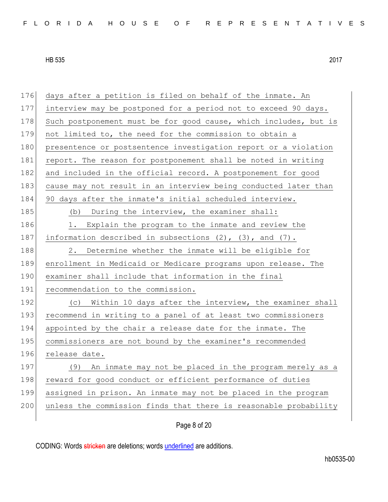176 days after a petition is filed on behalf of the inmate. An 177 interview may be postponed for a period not to exceed 90 days. 178 Such postponement must be for good cause, which includes, but is 179 not limited to, the need for the commission to obtain a 180 presentence or postsentence investigation report or a violation 181 report. The reason for postponement shall be noted in writing 182 and included in the official record. A postponement for good 183 cause may not result in an interview being conducted later than 184 90 days after the inmate's initial scheduled interview. 185 (b) During the interview, the examiner shall: 186 1. Explain the program to the inmate and review the 187 information described in subsections  $(2)$ ,  $(3)$ , and  $(7)$ . 188 2. Determine whether the inmate will be eligible for 189 enrollment in Medicaid or Medicare programs upon release. The 190 examiner shall include that information in the final 191 recommendation to the commission. 192 (c) Within 10 days after the interview, the examiner shall 193 recommend in writing to a panel of at least two commissioners 194 appointed by the chair a release date for the inmate. The 195 commissioners are not bound by the examiner's recommended 196 release date. 197 (9) An inmate may not be placed in the program merely as a 198 reward for good conduct or efficient performance of duties 199 assigned in prison. An inmate may not be placed in the program 200 unless the commission finds that there is reasonable probability

Page 8 of 20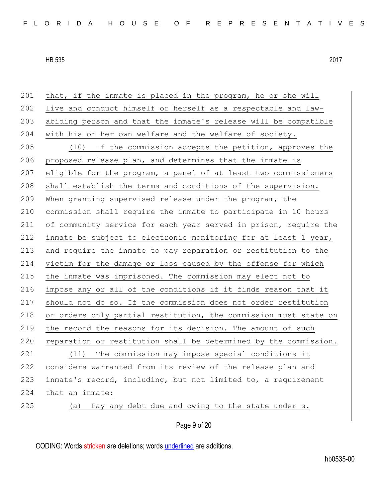| 201 | that, if the inmate is placed in the program, he or she will     |
|-----|------------------------------------------------------------------|
| 202 | live and conduct himself or herself as a respectable and law-    |
| 203 | abiding person and that the inmate's release will be compatible  |
| 204 | with his or her own welfare and the welfare of society.          |
| 205 | (10) If the commission accepts the petition, approves the        |
| 206 | proposed release plan, and determines that the inmate is         |
| 207 | eligible for the program, a panel of at least two commissioners  |
| 208 | shall establish the terms and conditions of the supervision.     |
| 209 | When granting supervised release under the program, the          |
| 210 | commission shall require the inmate to participate in 10 hours   |
| 211 | of community service for each year served in prison, require the |
| 212 | inmate be subject to electronic monitoring for at least 1 year,  |
| 213 | and require the inmate to pay reparation or restitution to the   |
| 214 | victim for the damage or loss caused by the offense for which    |
| 215 | the inmate was imprisoned. The commission may elect not to       |
| 216 | impose any or all of the conditions if it finds reason that it   |
| 217 | should not do so. If the commission does not order restitution   |
| 218 | or orders only partial restitution, the commission must state on |
| 219 | the record the reasons for its decision. The amount of such      |
| 220 | reparation or restitution shall be determined by the commission. |
| 221 | The commission may impose special conditions it<br>(11)          |
| 222 | considers warranted from its review of the release plan and      |
| 223 | inmate's record, including, but not limited to, a requirement    |
| 224 | that an inmate:                                                  |
| 225 | Pay any debt due and owing to the state under s.<br>(a)          |
|     |                                                                  |
|     | Page 9 of 20                                                     |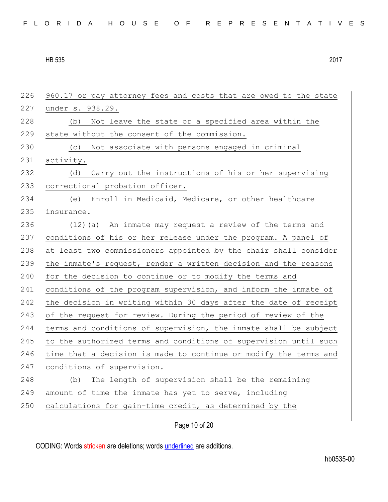| 226 | 960.17 or pay attorney fees and costs that are owed to the state |
|-----|------------------------------------------------------------------|
| 227 | under s. 938.29.                                                 |
| 228 | Not leave the state or a specified area within the<br>(b)        |
| 229 | state without the consent of the commission.                     |
| 230 | (c) Not associate with persons engaged in criminal               |
| 231 | activity.                                                        |
| 232 | Carry out the instructions of his or her supervising<br>(d)      |
| 233 | correctional probation officer.                                  |
| 234 | (e) Enroll in Medicaid, Medicare, or other healthcare            |
| 235 | insurance.                                                       |
| 236 | (12) (a) An inmate may request a review of the terms and         |
| 237 | conditions of his or her release under the program. A panel of   |
| 238 | at least two commissioners appointed by the chair shall consider |
| 239 | the inmate's request, render a written decision and the reasons  |
| 240 | for the decision to continue or to modify the terms and          |
| 241 | conditions of the program supervision, and inform the inmate of  |
| 242 | the decision in writing within 30 days after the date of receipt |
| 243 | of the request for review. During the period of review of the    |
| 244 | terms and conditions of supervision, the inmate shall be subject |
| 245 | to the authorized terms and conditions of supervision until such |
| 246 | time that a decision is made to continue or modify the terms and |
| 247 | conditions of supervision.                                       |
| 248 | The length of supervision shall be the remaining<br>(b)          |
| 249 | amount of time the inmate has yet to serve, including            |
| 250 | calculations for gain-time credit, as determined by the          |
|     |                                                                  |

Page 10 of 20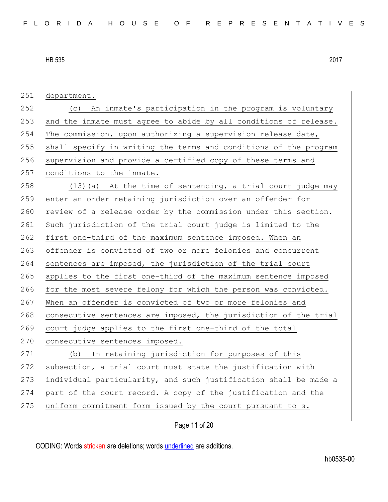251 department. 252 (c) An inmate's participation in the program is voluntary 253 and the inmate must agree to abide by all conditions of release. 254 The commission, upon authorizing a supervision release date, 255 shall specify in writing the terms and conditions of the program 256 supervision and provide a certified copy of these terms and 257 conditions to the inmate. 258  $(13)(a)$  At the time of sentencing, a trial court judge may 259 enter an order retaining jurisdiction over an offender for 260 review of a release order by the commission under this section. 261 Such jurisdiction of the trial court judge is limited to the 262 first one-third of the maximum sentence imposed. When an 263 offender is convicted of two or more felonies and concurrent 264 sentences are imposed, the jurisdiction of the trial court 265 applies to the first one-third of the maximum sentence imposed 266 for the most severe felony for which the person was convicted. 267 When an offender is convicted of two or more felonies and 268 consecutive sentences are imposed, the jurisdiction of the trial 269 court judge applies to the first one-third of the total 270 consecutive sentences imposed. 271 (b) In retaining jurisdiction for purposes of this  $272$  subsection, a trial court must state the justification with 273 individual particularity, and such justification shall be made a 274 part of the court record. A copy of the justification and the 275 uniform commitment form issued by the court pursuant to s.

Page 11 of 20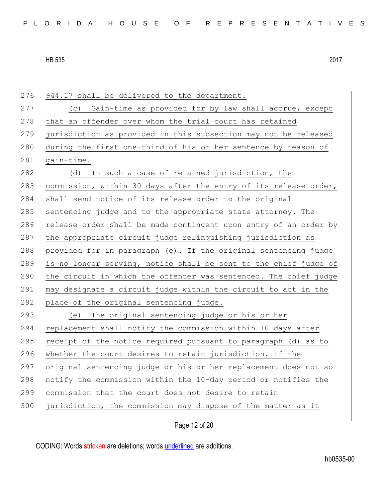276 944.17 shall be delivered to the department. 277 (c) Gain-time as provided for by law shall accrue, except 278 that an offender over whom the trial court has retained 279 jurisdiction as provided in this subsection may not be released 280 during the first one-third of his or her sentence by reason of 281 gain-time. 282 (d) In such a case of retained jurisdiction, the 283 commission, within 30 days after the entry of its release order, 284 shall send notice of its release order to the original 285 sentencing judge and to the appropriate state attorney. The 286 release order shall be made contingent upon entry of an order by 287 the appropriate circuit judge relinquishing jurisdiction as 288 provided for in paragraph (e). If the original sentencing judge 289 is no longer serving, notice shall be sent to the chief judge of 290 the circuit in which the offender was sentenced. The chief judge 291 may designate a circuit judge within the circuit to act in the 292 place of the original sentencing judge. 293 (e) The original sentencing judge or his or her 294 replacement shall notify the commission within 10 days after 295 receipt of the notice required pursuant to paragraph (d) as to 296 whether the court desires to retain jurisdiction. If the 297 original sentencing judge or his or her replacement does not so 298 notify the commission within the 10-day period or notifies the 299 commission that the court does not desire to retain

300 jurisdiction, the commission may dispose of the matter as it

Page 12 of 20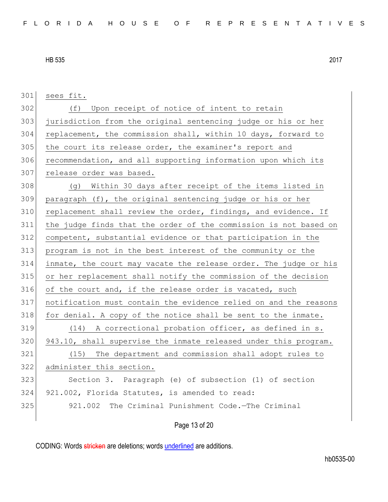sees fit. 302 (f) Upon receipt of notice of intent to retain jurisdiction from the original sentencing judge or his or her replacement, the commission shall, within 10 days, forward to 305 the court its release order, the examiner's report and recommendation, and all supporting information upon which its 307 release order was based. (g) Within 30 days after receipt of the items listed in paragraph (f), the original sentencing judge or his or her 310 replacement shall review the order, findings, and evidence. If the judge finds that the order of the commission is not based on competent, substantial evidence or that participation in the program is not in the best interest of the community or the inmate, the court may vacate the release order. The judge or his or her replacement shall notify the commission of the decision 316 of the court and, if the release order is vacated, such notification must contain the evidence relied on and the reasons for denial. A copy of the notice shall be sent to the inmate. 319 (14) A correctional probation officer, as defined in s. 943.10, shall supervise the inmate released under this program. (15) The department and commission shall adopt rules to administer this section. Section 3. Paragraph (e) of subsection (1) of section 921.002, Florida Statutes, is amended to read: 921.002 The Criminal Punishment Code.—The Criminal

Page 13 of 20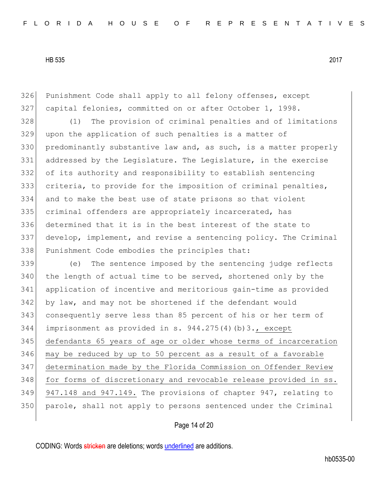Punishment Code shall apply to all felony offenses, except capital felonies, committed on or after October 1, 1998.

 (1) The provision of criminal penalties and of limitations upon the application of such penalties is a matter of predominantly substantive law and, as such, is a matter properly 331 addressed by the Legislature. The Legislature, in the exercise of its authority and responsibility to establish sentencing criteria, to provide for the imposition of criminal penalties, and to make the best use of state prisons so that violent criminal offenders are appropriately incarcerated, has determined that it is in the best interest of the state to 337 develop, implement, and revise a sentencing policy. The Criminal Punishment Code embodies the principles that:

 (e) The sentence imposed by the sentencing judge reflects the length of actual time to be served, shortened only by the application of incentive and meritorious gain-time as provided 342 by law, and may not be shortened if the defendant would consequently serve less than 85 percent of his or her term of imprisonment as provided in s. 944.275(4)(b)3., except defendants 65 years of age or older whose terms of incarceration may be reduced by up to 50 percent as a result of a favorable determination made by the Florida Commission on Offender Review 348 for forms of discretionary and revocable release provided in ss. 947.148 and 947.149. The provisions of chapter 947, relating to parole, shall not apply to persons sentenced under the Criminal

## Page 14 of 20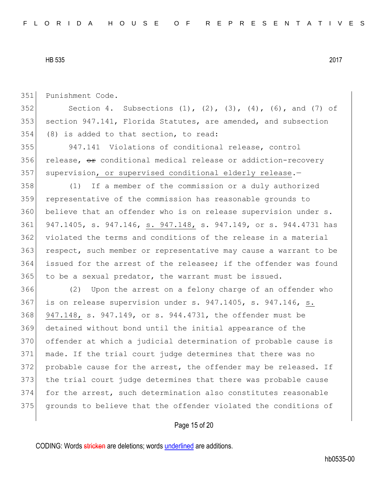351 Punishment Code.

352 Section 4. Subsections  $(1)$ ,  $(2)$ ,  $(3)$ ,  $(4)$ ,  $(6)$ , and  $(7)$  of 353 section 947.141, Florida Statutes, are amended, and subsection 354 (8) is added to that section, to read:

355 947.141 Violations of conditional release, control 356 release, or conditional medical release or addiction-recovery 357 supervision, or supervised conditional elderly release.-

 (1) If a member of the commission or a duly authorized representative of the commission has reasonable grounds to believe that an offender who is on release supervision under s. 947.1405, s. 947.146, s. 947.148, s. 947.149, or s. 944.4731 has 362 violated the terms and conditions of the release in a material 363 respect, such member or representative may cause a warrant to be issued for the arrest of the releasee; if the offender was found to be a sexual predator, the warrant must be issued.

 (2) Upon the arrest on a felony charge of an offender who 367 is on release supervision under s. 947.1405, s. 947.146, s. 947.148, s. 947.149, or s. 944.4731, the offender must be detained without bond until the initial appearance of the offender at which a judicial determination of probable cause is made. If the trial court judge determines that there was no 372 probable cause for the arrest, the offender may be released. If 373 the trial court judge determines that there was probable cause for the arrest, such determination also constitutes reasonable grounds to believe that the offender violated the conditions of

#### Page 15 of 20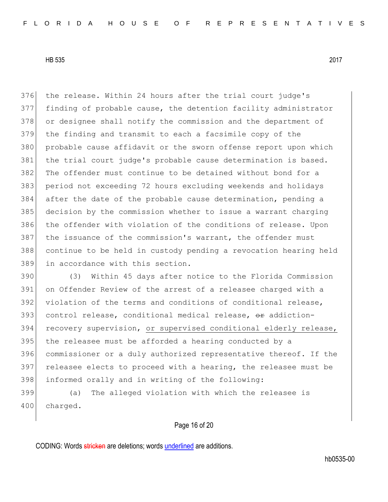376 the release. Within 24 hours after the trial court judge's finding of probable cause, the detention facility administrator or designee shall notify the commission and the department of the finding and transmit to each a facsimile copy of the 380 probable cause affidavit or the sworn offense report upon which 381 | the trial court judge's probable cause determination is based. The offender must continue to be detained without bond for a period not exceeding 72 hours excluding weekends and holidays after the date of the probable cause determination, pending a decision by the commission whether to issue a warrant charging 386 the offender with violation of the conditions of release. Upon the issuance of the commission's warrant, the offender must continue to be held in custody pending a revocation hearing held in accordance with this section.

 (3) Within 45 days after notice to the Florida Commission on Offender Review of the arrest of a releasee charged with a violation of the terms and conditions of conditional release, 393 control release, conditional medical release,  $\theta$ r addiction-394 recovery supervision, or supervised conditional elderly release, the releasee must be afforded a hearing conducted by a commissioner or a duly authorized representative thereof. If the 397 releasee elects to proceed with a hearing, the releasee must be informed orally and in writing of the following:

399 (a) The alleged violation with which the releasee is 400 charged.

# Page 16 of 20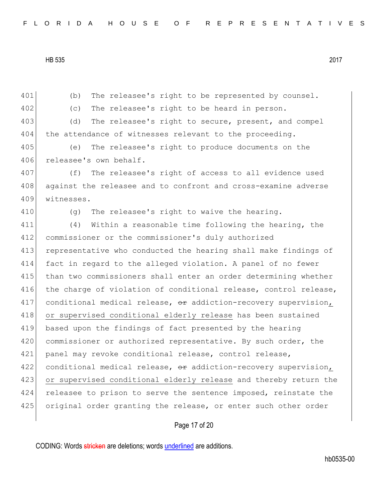401 (b) The releasee's right to be represented by counsel. 402 (c) The releasee's right to be heard in person. 403 (d) The releasee's right to secure, present, and compel 404 the attendance of witnesses relevant to the proceeding. 405 (e) The releasee's right to produce documents on the 406 releasee's own behalf. 407 (f) The releasee's right of access to all evidence used 408 against the releasee and to confront and cross-examine adverse 409 witnesses. 410  $(q)$  The releasee's right to waive the hearing. 411 (4) Within a reasonable time following the hearing, the 412 commissioner or the commissioner's duly authorized 413 representative who conducted the hearing shall make findings of 414 fact in regard to the alleged violation. A panel of no fewer 415 than two commissioners shall enter an order determining whether 416 the charge of violation of conditional release, control release, 417 conditional medical release,  $\theta$  addiction-recovery supervision, 418 or supervised conditional elderly release has been sustained 419 based upon the findings of fact presented by the hearing 420 commissioner or authorized representative. By such order, the 421 panel may revoke conditional release, control release, 422 conditional medical release, or addiction-recovery supervision, 423 or supervised conditional elderly release and thereby return the 424 releasee to prison to serve the sentence imposed, reinstate the 425 original order granting the release, or enter such other order

Page 17 of 20

CODING: Words stricken are deletions; words underlined are additions.

hb0535-00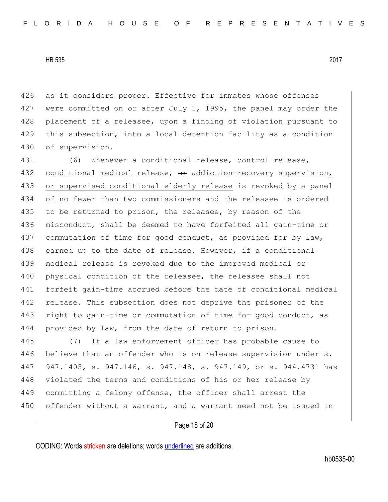426 as it considers proper. Effective for inmates whose offenses 427 were committed on or after July 1, 1995, the panel may order the 428 placement of a releasee, upon a finding of violation pursuant to 429 this subsection, into a local detention facility as a condition 430 of supervision.

431 (6) Whenever a conditional release, control release, 432 conditional medical release,  $\theta$  addiction-recovery supervision, 433 or supervised conditional elderly release is revoked by a panel 434 of no fewer than two commissioners and the releasee is ordered 435 to be returned to prison, the releasee, by reason of the 436 misconduct, shall be deemed to have forfeited all gain-time or 437 commutation of time for good conduct, as provided for by law, 438 earned up to the date of release. However, if a conditional 439 medical release is revoked due to the improved medical or 440 physical condition of the releasee, the releasee shall not 441 forfeit gain-time accrued before the date of conditional medical 442 release. This subsection does not deprive the prisoner of the 443 right to gain-time or commutation of time for good conduct, as 444 provided by law, from the date of return to prison.

445 (7) If a law enforcement officer has probable cause to 446 believe that an offender who is on release supervision under s. 447 947.1405, s. 947.146, s. 947.148, s. 947.149, or s. 944.4731 has 448 violated the terms and conditions of his or her release by 449 committing a felony offense, the officer shall arrest the 450 offender without a warrant, and a warrant need not be issued in

Page 18 of 20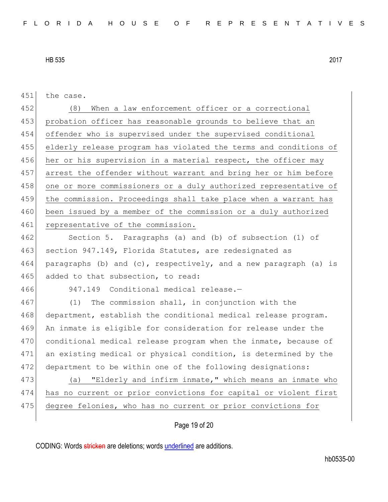| 451 | the case.                                                        |
|-----|------------------------------------------------------------------|
| 452 | When a law enforcement officer or a correctional<br>(8)          |
| 453 | probation officer has reasonable grounds to believe that an      |
| 454 | offender who is supervised under the supervised conditional      |
| 455 | elderly release program has violated the terms and conditions of |
| 456 | her or his supervision in a material respect, the officer may    |
| 457 | arrest the offender without warrant and bring her or him before  |
| 458 | one or more commissioners or a duly authorized representative of |
| 459 | the commission. Proceedings shall take place when a warrant has  |
| 460 | been issued by a member of the commission or a duly authorized   |
| 461 | representative of the commission.                                |
| 462 | Section 5. Paragraphs (a) and (b) of subsection (1) of           |
| 463 | section 947.149, Florida Statutes, are redesignated as           |
| 464 | paragraphs (b) and (c), respectively, and a new paragraph (a) is |
| 465 | added to that subsection, to read:                               |
| 466 | 947.149 Conditional medical release.-                            |
| 467 | The commission shall, in conjunction with the<br>(1)             |
| 468 | department, establish the conditional medical release program.   |
| 469 | An inmate is eligible for consideration for release under the    |
| 470 | conditional medical release program when the inmate, because of  |
| 471 | an existing medical or physical condition, is determined by the  |
| 472 | department to be within one of the following designations:       |
| 473 | "Elderly and infirm inmate," which means an inmate who<br>(a)    |
| 474 | has no current or prior convictions for capital or violent first |
| 475 | degree felonies, who has no current or prior convictions for     |
|     |                                                                  |

# Page 19 of 20